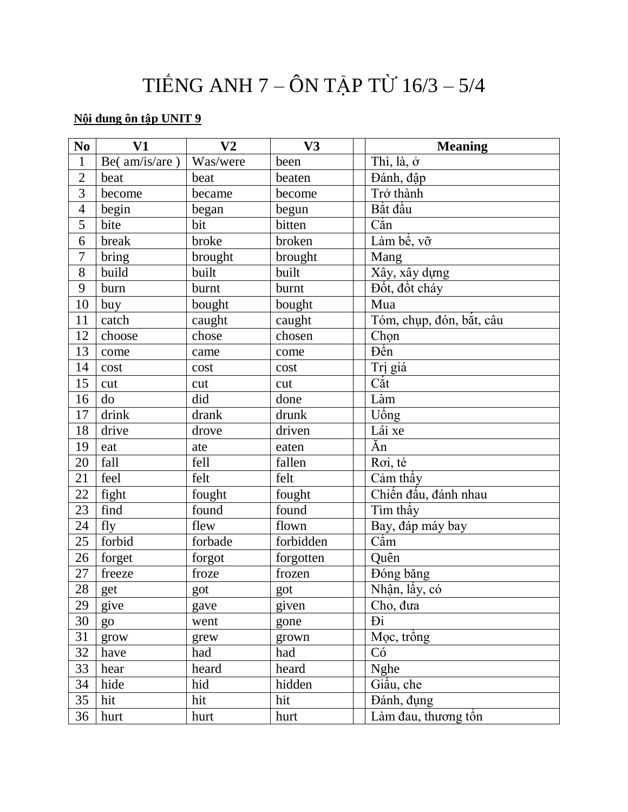# TIẾNG ANH 7 – ÔN TẬP TỪ 16/3 – 5/4

# **Nội dung ôn tập UNIT 9**

| N <sub>0</sub> | V1            | V <sub>2</sub> | V3        | <b>Meaning</b>           |
|----------------|---------------|----------------|-----------|--------------------------|
| $\mathbf{1}$   | Be(am/is/are) | Was/were       | been      | Thì, là, ở               |
| $\overline{2}$ | beat          | beat           | beaten    | Đánh, đập                |
| $\overline{3}$ | become        | became         | become    | Trở thành                |
| $\overline{4}$ | begin         | began          | begun     | Bắt đầu                  |
| $\overline{5}$ | bite          | bit            | bitten    | $C\acute{a}n$            |
| 6              | break         | broke          | broken    | Làm bề, vỡ               |
| $\overline{7}$ | bring         | brought        | brought   | Mang                     |
| 8              | build         | built          | built     | Xây, xây dựng            |
| 9              | burn          | burnt          | burnt     | Đốt, đốt cháy            |
| 10             | buy           | bought         | bought    | Mua                      |
| 11             | catch         | caught         | caught    | Tóm, chụp, đón, bắt, câu |
| 12             | choose        | chose          | chosen    | Chọn                     |
| 13             | come          | came           | come      | Đến                      |
| 14             | cost          | cost           | cost      | Trị giá                  |
| 15             | cut           | cut            | cut       | $C\acute{a}t$            |
| 16             | do            | did            | done      | Làm                      |
| 17             | drink         | drank          | drunk     | Uống                     |
| 18             | drive         | drove          | driven    | Lái xe                   |
| 19             | eat           | ate            | eaten     | Ăn                       |
| 20             | fall          | fell           | fallen    | Roi, té                  |
| 21             | feel          | felt           | felt      | $\overline{C}$ ảm thấy   |
| 22             | fight         | fought         | fought    | Chiến đấu, đánh nhau     |
| 23             | find          | found          | found     | Tìm thấy                 |
| 24             | fly           | flew           | flown     | Bay, đáp máy bay         |
| 25             | forbid        | forbade        | forbidden | $C\acute{a}m$            |
| 26             | forget        | forgot         | forgotten | Quên                     |
| 27             | freeze        | froze          | frozen    | Đóng băng                |
| 28             | get           | got            | got       | Nhận, lấy, có            |
| 29             | give          | gave           | given     | Cho, đưa                 |
| 30             | go            | went           | gone      | Đi                       |
| 31             | grow          | grew           | grown     | Mọc, trồng               |
| 32             | have          | had            | had       | Có                       |
| 33             | hear          | heard          | heard     | <b>Nghe</b>              |
| 34             | hide          | hid            | hidden    | Giâu, che                |
| 35             | hit           | hit            | hit       | Đánh, đụng               |
| 36             | hurt          | hurt           | hurt      | Làm đau, thương tổn      |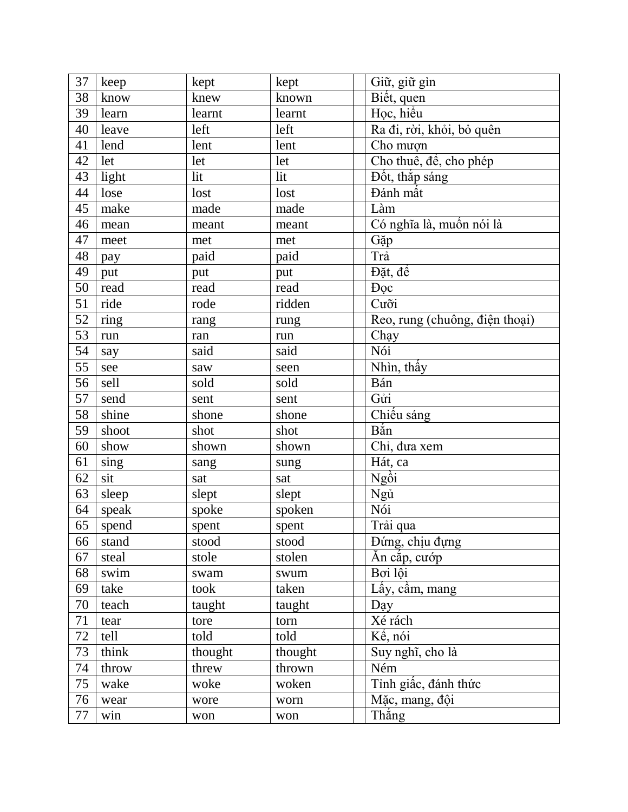| 37 | keep                    | kept    | kept    | Giữ, giữ gìn                   |
|----|-------------------------|---------|---------|--------------------------------|
| 38 | know                    | knew    | known   | Biết, quen                     |
| 39 | learn                   | learnt  | learnt  | Học, hiểu                      |
| 40 | leave                   | left    | left    | Ra đi, rời, khỏi, bỏ quên      |
| 41 | lend                    | lent    | lent    | Cho mượn                       |
| 42 | let                     | let     | let     | Cho thuê, để, cho phép         |
| 43 | light                   | lit     | lit     | $\overline{D}$ ốt, thắp sáng   |
| 44 | lose                    | lost    | lost    | Đánh mất                       |
| 45 | make                    | made    | made    | Làm                            |
| 46 | mean                    | meant   | meant   | Có nghĩa là, muốn nói là       |
| 47 | meet                    | met     | met     | Gặp                            |
| 48 | pay                     | paid    | paid    | Trå                            |
| 49 | put                     | put     | put     | Đặt, để                        |
| 50 | read                    | read    | read    | <b>Doc</b>                     |
| 51 | ride                    | rode    | ridden  | Cưỡi                           |
| 52 | ring                    | rang    | rung    | Reo, rung (chuông, điện thoại) |
| 53 | run                     | ran     | run     | Chạy                           |
| 54 | say                     | said    | said    | Nói                            |
| 55 | see                     | saw     | seen    | Nhìn, thấy                     |
| 56 | sell                    | sold    | sold    | Bán                            |
| 57 | send                    | sent    | sent    | Gửi                            |
| 58 | shine                   | shone   | shone   | Chiếu sáng                     |
| 59 | shoot                   | shot    | shot    | Bắn                            |
| 60 | show                    | shown   | shown   | Chỉ, đưa xem                   |
| 61 | $\frac{\sin g}{\sin g}$ | sang    | sung    | Hát, ca                        |
| 62 | sit                     | sat     | sat     | Ngòi                           |
| 63 | sleep                   | slept   | slept   | Ngů                            |
| 64 | speak                   | spoke   | spoken  | Nói                            |
| 65 | spend                   | spent   | spent   | Trải qua                       |
| 66 | stand                   | stood   | stood   | Đứng, chịu đựng                |
| 67 | steal                   | stole   | stolen  | Ăn cắp, cướp                   |
| 68 | swim                    | swam    | swum    | Boi lội                        |
| 69 | take                    | took    | taken   | Lấy, cầm, mang                 |
| 70 | teach                   | taught  | taught  | Day                            |
| 71 | tear                    | tore    | torn    | Xé rách                        |
| 72 | tell                    | told    | told    | Kể, nói                        |
| 73 | think                   | thought | thought | Suy nghĩ, cho là               |
| 74 | throw                   | threw   | thrown  | Ném                            |
| 75 | wake                    | woke    | woken   | Tinh giấc, đánh thức           |
| 76 | wear                    | wore    | worn    | Mặc, mang, đội                 |
| 77 | win                     | won     | won     | Thắng                          |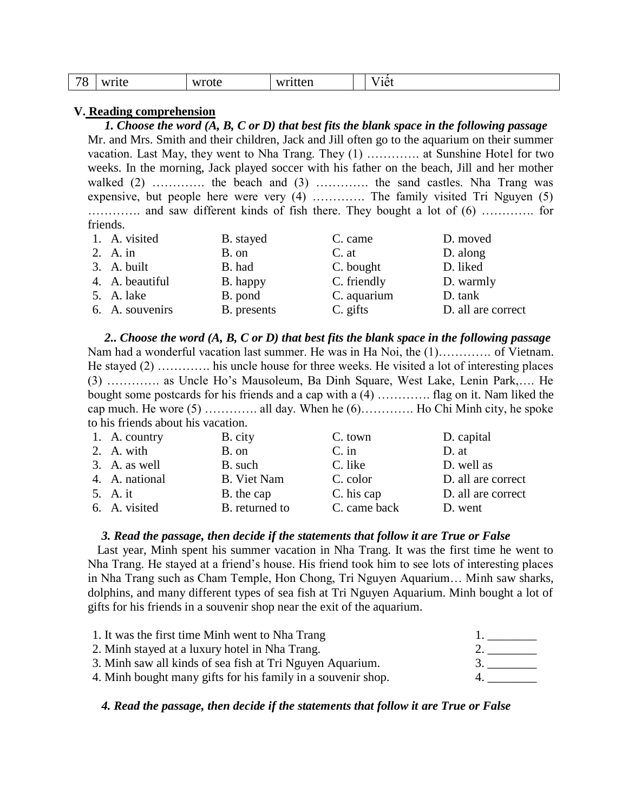| 70<br> | <b>TT 1444 4-0</b><br>$\mathbf{M}$<br>****<br>$- - -$ | wrote | written<br>πen<br>$   -$ |  | $\sim$<br>^<br>10 <sup>4</sup><br>エレレ |
|--------|-------------------------------------------------------|-------|--------------------------|--|---------------------------------------|
|--------|-------------------------------------------------------|-------|--------------------------|--|---------------------------------------|

#### **V. Reading comprehension**

*1. Choose the word (A, B, C or D) that best fits the blank space in the following passage* Mr. and Mrs. Smith and their children, Jack and Jill often go to the aquarium on their summer vacation. Last May, they went to Nha Trang. They (1) …………. at Sunshine Hotel for two weeks. In the morning, Jack played soccer with his father on the beach, Jill and her mother walked (2) ………….. the beach and (3) ………….. the sand castles. Nha Trang was expensive, but people here were very (4) …………. The family visited Tri Nguyen (5) …………. and saw different kinds of fish there. They bought a lot of (6) …………. for friends.

| 1. A. visited   | B. stayed   | C. came     | D. moved           |
|-----------------|-------------|-------------|--------------------|
| 2. A. in        | B. on       | C. at       | D. along           |
| 3. A. built     | B. had      | C. bought   | D. liked           |
| 4. A. beautiful | B. happy    | C. friendly | D. warmly          |
| 5. A. lake      | B. pond     | C. aquarium | D. tank            |
| 6. A. souvenirs | B. presents | C. gifts    | D. all are correct |

*2.. Choose the word (A, B, C or D) that best fits the blank space in the following passage* Nam had a wonderful vacation last summer. He was in Ha Noi, the (1)…………. of Vietnam. He stayed (2) …………. his uncle house for three weeks. He visited a lot of interesting places (3) …………. as Uncle Ho's Mausoleum, Ba Dinh Square, West Lake, Lenin Park,…. He bought some postcards for his friends and a cap with a (4) …………. flag on it. Nam liked the cap much. He wore  $(5)$  ………….. all day. When he  $(6)$ …………. Ho Chi Minh city, he spoke to his friends about his vacation.

| 1. A. country  | B. city            | C. town      | D. capital         |
|----------------|--------------------|--------------|--------------------|
| 2. A. with     | B. on              | $C.$ in      | D. at              |
| 3. A. as well  | B. such            | C. like      | D. well as         |
| 4. A. national | <b>B.</b> Viet Nam | C. color     | D. all are correct |
| 5. A. it       | B. the cap         | C. his cap   | D. all are correct |
| 6. A. visited  | B. returned to     | C. came back | D. went            |

## *3. Read the passage, then decide if the statements that follow it are True or False*

 Last year, Minh spent his summer vacation in Nha Trang. It was the first time he went to Nha Trang. He stayed at a friend's house. His friend took him to see lots of interesting places in Nha Trang such as Cham Temple, Hon Chong, Tri Nguyen Aquarium… Minh saw sharks, dolphins, and many different types of sea fish at Tri Nguyen Aquarium. Minh bought a lot of gifts for his friends in a souvenir shop near the exit of the aquarium.

| 1. It was the first time Minh went to Nha Trang              |  |
|--------------------------------------------------------------|--|
| 2. Minh stayed at a luxury hotel in Nha Trang.               |  |
| 3. Minh saw all kinds of sea fish at Tri Nguyen Aquarium.    |  |
| 4. Minh bought many gifts for his family in a souvenir shop. |  |

## *4. Read the passage, then decide if the statements that follow it are True or False*